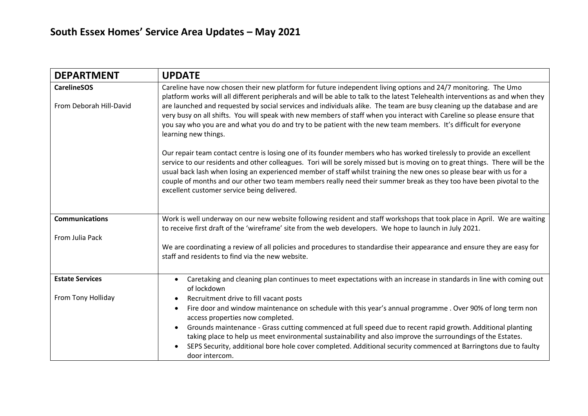| <b>DEPARTMENT</b>                             | <b>UPDATE</b>                                                                                                                                                                                                                                                                                                                                                                                                                                                                                                                                                                                                                                      |
|-----------------------------------------------|----------------------------------------------------------------------------------------------------------------------------------------------------------------------------------------------------------------------------------------------------------------------------------------------------------------------------------------------------------------------------------------------------------------------------------------------------------------------------------------------------------------------------------------------------------------------------------------------------------------------------------------------------|
| <b>CarelineSOS</b><br>From Deborah Hill-David | Careline have now chosen their new platform for future independent living options and 24/7 monitoring. The Umo<br>platform works will all different peripherals and will be able to talk to the latest Telehealth interventions as and when they<br>are launched and requested by social services and individuals alike. The team are busy cleaning up the database and are<br>very busy on all shifts. You will speak with new members of staff when you interact with Careline so please ensure that<br>you say who you are and what you do and try to be patient with the new team members. It's difficult for everyone<br>learning new things. |
|                                               | Our repair team contact centre is losing one of its founder members who has worked tirelessly to provide an excellent<br>service to our residents and other colleagues. Tori will be sorely missed but is moving on to great things. There will be the<br>usual back lash when losing an experienced member of staff whilst training the new ones so please bear with us for a<br>couple of months and our other two team members really need their summer break as they too have been pivotal to the<br>excellent customer service being delivered.                                                                                               |
| <b>Communications</b>                         | Work is well underway on our new website following resident and staff workshops that took place in April. We are waiting<br>to receive first draft of the 'wireframe' site from the web developers. We hope to launch in July 2021.                                                                                                                                                                                                                                                                                                                                                                                                                |
| From Julia Pack                               | We are coordinating a review of all policies and procedures to standardise their appearance and ensure they are easy for<br>staff and residents to find via the new website.                                                                                                                                                                                                                                                                                                                                                                                                                                                                       |
| <b>Estate Services</b>                        | Caretaking and cleaning plan continues to meet expectations with an increase in standards in line with coming out<br>of lockdown                                                                                                                                                                                                                                                                                                                                                                                                                                                                                                                   |
| From Tony Holliday                            | Recruitment drive to fill vacant posts<br>$\bullet$<br>Fire door and window maintenance on schedule with this year's annual programme. Over 90% of long term non<br>access properties now completed.<br>Grounds maintenance - Grass cutting commenced at full speed due to recent rapid growth. Additional planting<br>taking place to help us meet environmental sustainability and also improve the surroundings of the Estates.<br>SEPS Security, additional bore hole cover completed. Additional security commenced at Barringtons due to faulty<br>door intercom.                                                                            |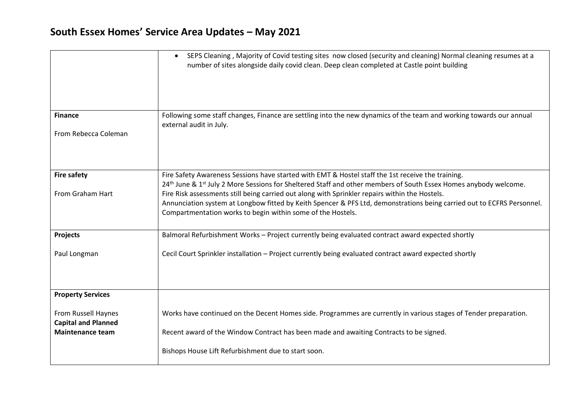## **South Essex Homes' Service Area Updates – May 2021**

|                                                   | SEPS Cleaning, Majority of Covid testing sites now closed (security and cleaning) Normal cleaning resumes at a<br>$\bullet$<br>number of sites alongside daily covid clean. Deep clean completed at Castle point building                                                               |
|---------------------------------------------------|-----------------------------------------------------------------------------------------------------------------------------------------------------------------------------------------------------------------------------------------------------------------------------------------|
| <b>Finance</b>                                    | Following some staff changes, Finance are settling into the new dynamics of the team and working towards our annual<br>external audit in July.                                                                                                                                          |
| From Rebecca Coleman                              |                                                                                                                                                                                                                                                                                         |
| <b>Fire safety</b>                                | Fire Safety Awareness Sessions have started with EMT & Hostel staff the 1st receive the training.<br>24 <sup>th</sup> June & 1 <sup>st</sup> July 2 More Sessions for Sheltered Staff and other members of South Essex Homes anybody welcome.                                           |
| From Graham Hart                                  | Fire Risk assessments still being carried out along with Sprinkler repairs within the Hostels.<br>Annunciation system at Longbow fitted by Keith Spencer & PFS Ltd, demonstrations being carried out to ECFRS Personnel.<br>Compartmentation works to begin within some of the Hostels. |
| Projects                                          | Balmoral Refurbishment Works - Project currently being evaluated contract award expected shortly                                                                                                                                                                                        |
| Paul Longman                                      | Cecil Court Sprinkler installation - Project currently being evaluated contract award expected shortly                                                                                                                                                                                  |
| <b>Property Services</b>                          |                                                                                                                                                                                                                                                                                         |
| From Russell Haynes<br><b>Capital and Planned</b> | Works have continued on the Decent Homes side. Programmes are currently in various stages of Tender preparation.                                                                                                                                                                        |
| <b>Maintenance team</b>                           | Recent award of the Window Contract has been made and awaiting Contracts to be signed.                                                                                                                                                                                                  |
|                                                   | Bishops House Lift Refurbishment due to start soon.                                                                                                                                                                                                                                     |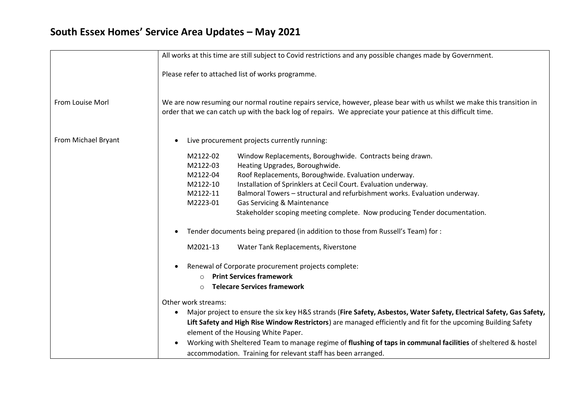## **South Essex Homes' Service Area Updates – May 2021**

|                     | All works at this time are still subject to Covid restrictions and any possible changes made by Government.                                                                                                                            |
|---------------------|----------------------------------------------------------------------------------------------------------------------------------------------------------------------------------------------------------------------------------------|
|                     | Please refer to attached list of works programme.                                                                                                                                                                                      |
| From Louise Morl    | We are now resuming our normal routine repairs service, however, please bear with us whilst we make this transition in<br>order that we can catch up with the back log of repairs. We appreciate your patience at this difficult time. |
| From Michael Bryant | Live procurement projects currently running:                                                                                                                                                                                           |
|                     | M2122-02<br>Window Replacements, Boroughwide. Contracts being drawn.                                                                                                                                                                   |
|                     | M2122-03<br>Heating Upgrades, Boroughwide.                                                                                                                                                                                             |
|                     | M2122-04<br>Roof Replacements, Boroughwide. Evaluation underway.                                                                                                                                                                       |
|                     | Installation of Sprinklers at Cecil Court. Evaluation underway.<br>M2122-10                                                                                                                                                            |
|                     | M2122-11<br>Balmoral Towers - structural and refurbishment works. Evaluation underway.                                                                                                                                                 |
|                     | M2223-01<br><b>Gas Servicing &amp; Maintenance</b>                                                                                                                                                                                     |
|                     | Stakeholder scoping meeting complete. Now producing Tender documentation.                                                                                                                                                              |
|                     | Tender documents being prepared (in addition to those from Russell's Team) for :                                                                                                                                                       |
|                     | M2021-13<br>Water Tank Replacements, Riverstone                                                                                                                                                                                        |
|                     | Renewal of Corporate procurement projects complete:                                                                                                                                                                                    |
|                     | <b>Print Services framework</b><br>$\bigcirc$                                                                                                                                                                                          |
|                     | <b>Telecare Services framework</b><br>$\circ$                                                                                                                                                                                          |
|                     | Other work streams:                                                                                                                                                                                                                    |
|                     | Major project to ensure the six key H&S strands (Fire Safety, Asbestos, Water Safety, Electrical Safety, Gas Safety,<br>$\bullet$                                                                                                      |
|                     | Lift Safety and High Rise Window Restrictors) are managed efficiently and fit for the upcoming Building Safety                                                                                                                         |
|                     | element of the Housing White Paper.                                                                                                                                                                                                    |
|                     | Working with Sheltered Team to manage regime of flushing of taps in communal facilities of sheltered & hostel                                                                                                                          |
|                     | accommodation. Training for relevant staff has been arranged.                                                                                                                                                                          |